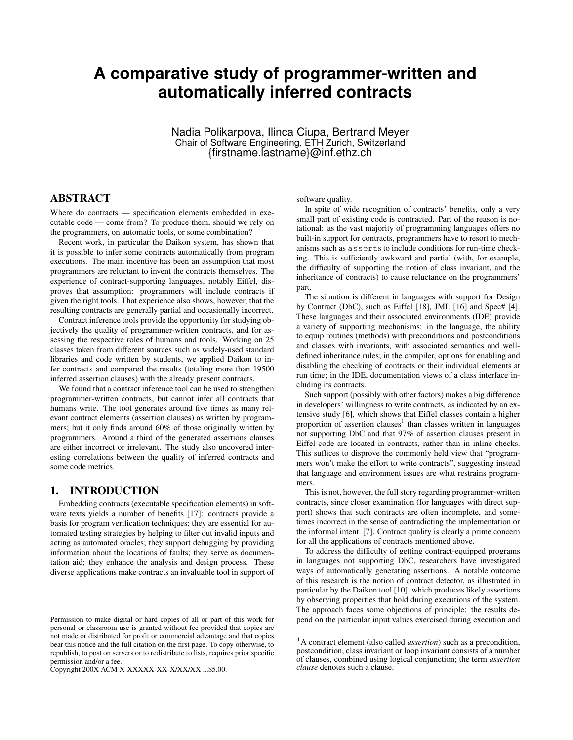# **A comparative study of programmer-written and automatically inferred contracts**

Nadia Polikarpova, Ilinca Ciupa, Bertrand Meyer Chair of Software Engineering, ETH Zurich, Switzerland {firstname.lastname}@inf.ethz.ch

# ABSTRACT

Where do contracts — specification elements embedded in executable code — come from? To produce them, should we rely on the programmers, on automatic tools, or some combination?

Recent work, in particular the Daikon system, has shown that it is possible to infer some contracts automatically from program executions. The main incentive has been an assumption that most programmers are reluctant to invent the contracts themselves. The experience of contract-supporting languages, notably Eiffel, disproves that assumption: programmers will include contracts if given the right tools. That experience also shows, however, that the resulting contracts are generally partial and occasionally incorrect.

Contract inference tools provide the opportunity for studying objectively the quality of programmer-written contracts, and for assessing the respective roles of humans and tools. Working on 25 classes taken from different sources such as widely-used standard libraries and code written by students, we applied Daikon to infer contracts and compared the results (totaling more than 19500 inferred assertion clauses) with the already present contracts.

We found that a contract inference tool can be used to strengthen programmer-written contracts, but cannot infer all contracts that humans write. The tool generates around five times as many relevant contract elements (assertion clauses) as written by programmers; but it only finds around 60% of those originally written by programmers. Around a third of the generated assertions clauses are either incorrect or irrelevant. The study also uncovered interesting correlations between the quality of inferred contracts and some code metrics.

## 1. INTRODUCTION

Embedding contracts (executable specification elements) in software texts yields a number of benefits [17]: contracts provide a basis for program verification techniques; they are essential for automated testing strategies by helping to filter out invalid inputs and acting as automated oracles; they support debugging by providing information about the locations of faults; they serve as documentation aid; they enhance the analysis and design process. These diverse applications make contracts an invaluable tool in support of

Copyright 200X ACM X-XXXXX-XX-X/XX/XX ...\$5.00.

software quality.

In spite of wide recognition of contracts' benefits, only a very small part of existing code is contracted. Part of the reason is notational: as the vast majority of programming languages offers no built-in support for contracts, programmers have to resort to mechanisms such as asserts to include conditions for run-time checking. This is sufficiently awkward and partial (with, for example, the difficulty of supporting the notion of class invariant, and the inheritance of contracts) to cause reluctance on the programmers' part.

The situation is different in languages with support for Design by Contract (DbC), such as Eiffel [18], JML [16] and Spec# [4]. These languages and their associated environments (IDE) provide a variety of supporting mechanisms: in the language, the ability to equip routines (methods) with preconditions and postconditions and classes with invariants, with associated semantics and welldefined inheritance rules; in the compiler, options for enabling and disabling the checking of contracts or their individual elements at run time; in the IDE, documentation views of a class interface including its contracts.

Such support (possibly with other factors) makes a big difference in developers' willingness to write contracts, as indicated by an extensive study [6], which shows that Eiffel classes contain a higher proportion of assertion clauses<sup>1</sup> than classes written in languages not supporting DbC and that 97% of assertion clauses present in Eiffel code are located in contracts, rather than in inline checks. This suffices to disprove the commonly held view that "programmers won't make the effort to write contracts", suggesting instead that language and environment issues are what restrains programmers.

This is not, however, the full story regarding programmer-written contracts, since closer examination (for languages with direct support) shows that such contracts are often incomplete, and sometimes incorrect in the sense of contradicting the implementation or the informal intent [7]. Contract quality is clearly a prime concern for all the applications of contracts mentioned above.

To address the difficulty of getting contract-equipped programs in languages not supporting DbC, researchers have investigated ways of automatically generating assertions. A notable outcome of this research is the notion of contract detector, as illustrated in particular by the Daikon tool [10], which produces likely assertions by observing properties that hold during executions of the system. The approach faces some objections of principle: the results depend on the particular input values exercised during execution and

Permission to make digital or hard copies of all or part of this work for personal or classroom use is granted without fee provided that copies are not made or distributed for profit or commercial advantage and that copies bear this notice and the full citation on the first page. To copy otherwise, to republish, to post on servers or to redistribute to lists, requires prior specific permission and/or a fee.

<sup>1</sup>A contract element (also called *assertion*) such as a precondition, postcondition, class invariant or loop invariant consists of a number of clauses, combined using logical conjunction; the term *assertion clause* denotes such a clause.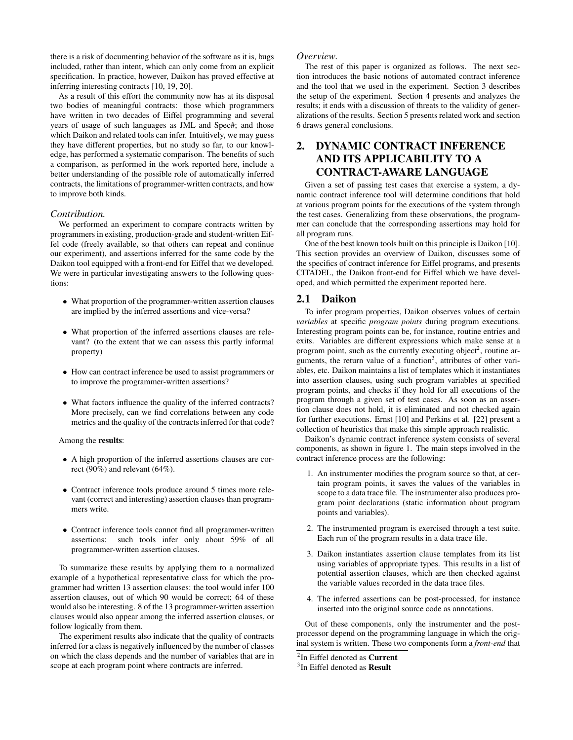there is a risk of documenting behavior of the software as it is, bugs included, rather than intent, which can only come from an explicit specification. In practice, however, Daikon has proved effective at inferring interesting contracts [10, 19, 20].

As a result of this effort the community now has at its disposal two bodies of meaningful contracts: those which programmers have written in two decades of Eiffel programming and several years of usage of such languages as JML and Spec#; and those which Daikon and related tools can infer. Intuitively, we may guess they have different properties, but no study so far, to our knowledge, has performed a systematic comparison. The benefits of such a comparison, as performed in the work reported here, include a better understanding of the possible role of automatically inferred contracts, the limitations of programmer-written contracts, and how to improve both kinds.

#### *Contribution.*

We performed an experiment to compare contracts written by programmers in existing, production-grade and student-written Eiffel code (freely available, so that others can repeat and continue our experiment), and assertions inferred for the same code by the Daikon tool equipped with a front-end for Eiffel that we developed. We were in particular investigating answers to the following questions:

- What proportion of the programmer-written assertion clauses are implied by the inferred assertions and vice-versa?
- What proportion of the inferred assertions clauses are relevant? (to the extent that we can assess this partly informal property)
- How can contract inference be used to assist programmers or to improve the programmer-written assertions?
- What factors influence the quality of the inferred contracts? More precisely, can we find correlations between any code metrics and the quality of the contracts inferred for that code?

#### Among the results:

- A high proportion of the inferred assertions clauses are correct (90%) and relevant (64%).
- Contract inference tools produce around 5 times more relevant (correct and interesting) assertion clauses than programmers write.
- Contract inference tools cannot find all programmer-written assertions: such tools infer only about 59% of all programmer-written assertion clauses.

To summarize these results by applying them to a normalized example of a hypothetical representative class for which the programmer had written 13 assertion clauses: the tool would infer 100 assertion clauses, out of which 90 would be correct; 64 of these would also be interesting. 8 of the 13 programmer-written assertion clauses would also appear among the inferred assertion clauses, or follow logically from them.

The experiment results also indicate that the quality of contracts inferred for a class is negatively influenced by the number of classes on which the class depends and the number of variables that are in scope at each program point where contracts are inferred.

#### *Overview.*

The rest of this paper is organized as follows. The next section introduces the basic notions of automated contract inference and the tool that we used in the experiment. Section 3 describes the setup of the experiment. Section 4 presents and analyzes the results; it ends with a discussion of threats to the validity of generalizations of the results. Section 5 presents related work and section 6 draws general conclusions.

# 2. DYNAMIC CONTRACT INFERENCE AND ITS APPLICABILITY TO A CONTRACT-AWARE LANGUAGE

Given a set of passing test cases that exercise a system, a dynamic contract inference tool will determine conditions that hold at various program points for the executions of the system through the test cases. Generalizing from these observations, the programmer can conclude that the corresponding assertions may hold for all program runs.

One of the best known tools built on this principle is Daikon [10]. This section provides an overview of Daikon, discusses some of the specifics of contract inference for Eiffel programs, and presents CITADEL, the Daikon front-end for Eiffel which we have developed, and which permitted the experiment reported here.

### 2.1 Daikon

To infer program properties, Daikon observes values of certain *variables* at specific *program points* during program executions. Interesting program points can be, for instance, routine entries and exits. Variables are different expressions which make sense at a program point, such as the currently executing object<sup>2</sup>, routine arguments, the return value of a function<sup>3</sup>, attributes of other variables, etc. Daikon maintains a list of templates which it instantiates into assertion clauses, using such program variables at specified program points, and checks if they hold for all executions of the program through a given set of test cases. As soon as an assertion clause does not hold, it is eliminated and not checked again for further executions. Ernst [10] and Perkins et al. [22] present a collection of heuristics that make this simple approach realistic.

Daikon's dynamic contract inference system consists of several components, as shown in figure 1. The main steps involved in the contract inference process are the following:

- 1. An instrumenter modifies the program source so that, at certain program points, it saves the values of the variables in scope to a data trace file. The instrumenter also produces program point declarations (static information about program points and variables).
- 2. The instrumented program is exercised through a test suite. Each run of the program results in a data trace file.
- 3. Daikon instantiates assertion clause templates from its list using variables of appropriate types. This results in a list of potential assertion clauses, which are then checked against the variable values recorded in the data trace files.
- 4. The inferred assertions can be post-processed, for instance inserted into the original source code as annotations.

Out of these components, only the instrumenter and the postprocessor depend on the programming language in which the original system is written. These two components form a *front-end* that

<sup>&</sup>lt;sup>2</sup>In Eiffel denoted as Current

<sup>&</sup>lt;sup>3</sup>In Eiffel denoted as Result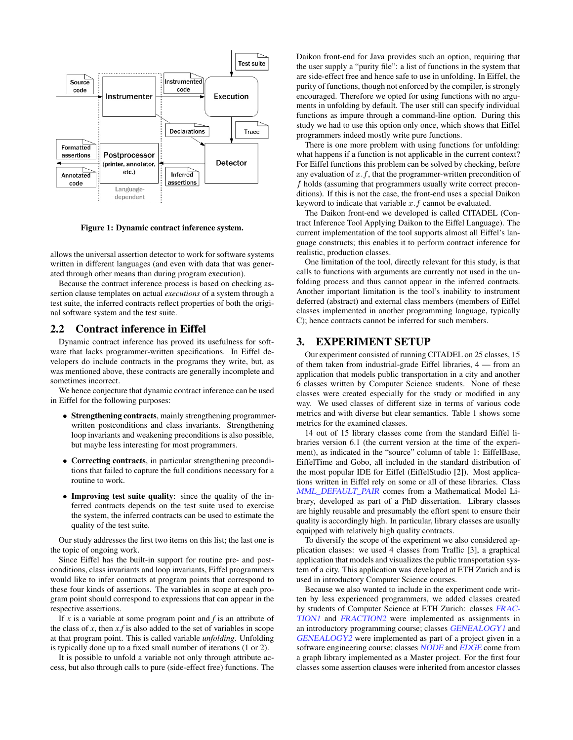

Figure 1: Dynamic contract inference system.

allows the universal assertion detector to work for software systems written in different languages (and even with data that was generated through other means than during program execution).

Because the contract inference process is based on checking assertion clause templates on actual *executions* of a system through a test suite, the inferred contracts reflect properties of both the original software system and the test suite.

#### 2.2 Contract inference in Eiffel

Dynamic contract inference has proved its usefulness for software that lacks programmer-written specifications. In Eiffel developers do include contracts in the programs they write, but, as was mentioned above, these contracts are generally incomplete and sometimes incorrect.

We hence conjecture that dynamic contract inference can be used in Eiffel for the following purposes:

- Strengthening contracts, mainly strengthening programmerwritten postconditions and class invariants. Strengthening loop invariants and weakening preconditions is also possible, but maybe less interesting for most programmers.
- Correcting contracts, in particular strengthening preconditions that failed to capture the full conditions necessary for a routine to work.
- Improving test suite quality: since the quality of the inferred contracts depends on the test suite used to exercise the system, the inferred contracts can be used to estimate the quality of the test suite.

Our study addresses the first two items on this list; the last one is the topic of ongoing work.

Since Eiffel has the built-in support for routine pre- and postconditions, class invariants and loop invariants, Eiffel programmers would like to infer contracts at program points that correspond to these four kinds of assertions. The variables in scope at each program point should correspond to expressions that can appear in the respective assertions.

If *x* is a variable at some program point and *f* is an attribute of the class of  $x$ , then  $x$ ,  $f$  is also added to the set of variables in scope at that program point. This is called variable *unfolding*. Unfolding is typically done up to a fixed small number of iterations (1 or 2).

It is possible to unfold a variable not only through attribute access, but also through calls to pure (side-effect free) functions. The Daikon front-end for Java provides such an option, requiring that the user supply a "purity file": a list of functions in the system that are side-effect free and hence safe to use in unfolding. In Eiffel, the purity of functions, though not enforced by the compiler, is strongly encouraged. Therefore we opted for using functions with no arguments in unfolding by default. The user still can specify individual functions as impure through a command-line option. During this study we had to use this option only once, which shows that Eiffel programmers indeed mostly write pure functions.

There is one more problem with using functions for unfolding: what happens if a function is not applicable in the current context? For Eiffel functions this problem can be solved by checking, before any evaluation of  $x.f$ , that the programmer-written precondition of f holds (assuming that programmers usually write correct preconditions). If this is not the case, the front-end uses a special Daikon keyword to indicate that variable  $x.f$  cannot be evaluated.

The Daikon front-end we developed is called CITADEL (Contract Inference Tool Applying Daikon to the Eiffel Language). The current implementation of the tool supports almost all Eiffel's language constructs; this enables it to perform contract inference for realistic, production classes.

One limitation of the tool, directly relevant for this study, is that calls to functions with arguments are currently not used in the unfolding process and thus cannot appear in the inferred contracts. Another important limitation is the tool's inability to instrument deferred (abstract) and external class members (members of Eiffel classes implemented in another programming language, typically C); hence contracts cannot be inferred for such members.

## 3. EXPERIMENT SETUP

Our experiment consisted of running CITADEL on 25 classes, 15 of them taken from industrial-grade Eiffel libraries, 4 — from an application that models public transportation in a city and another 6 classes written by Computer Science students. None of these classes were created especially for the study or modified in any way. We used classes of different size in terms of various code metrics and with diverse but clear semantics. Table 1 shows some metrics for the examined classes.

14 out of 15 library classes come from the standard Eiffel libraries version 6.1 (the current version at the time of the experiment), as indicated in the "source" column of table 1: EiffelBase, EiffelTime and Gobo, all included in the standard distribution of the most popular IDE for Eiffel (EiffelStudio [2]). Most applications written in Eiffel rely on some or all of these libraries. Class MML\_DEFAULT\_PAIR comes from a Mathematical Model Library, developed as part of a PhD dissertation. Library classes are highly reusable and presumably the effort spent to ensure their quality is accordingly high. In particular, library classes are usually equipped with relatively high quality contracts.

To diversify the scope of the experiment we also considered application classes: we used 4 classes from Traffic [3], a graphical application that models and visualizes the public transportation system of a city. This application was developed at ETH Zurich and is used in introductory Computer Science courses.

Because we also wanted to include in the experiment code written by less experienced programmers, we added classes created by students of Computer Science at ETH Zurich: classes FRAC-TION1 and FRACTION2 were implemented as assignments in an introductory programming course; classes GENEALOGY1 and GENEALOGY2 were implemented as part of a project given in a software engineering course; classes NODE and EDGE come from a graph library implemented as a Master project. For the first four classes some assertion clauses were inherited from ancestor classes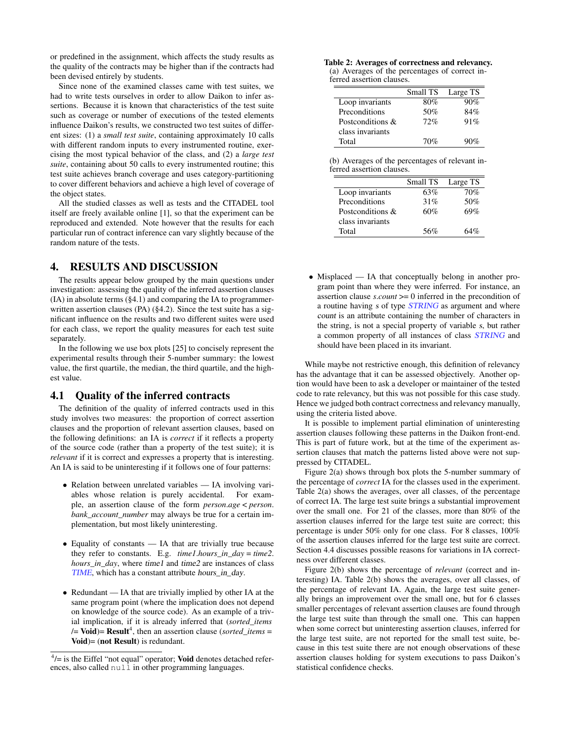or predefined in the assignment, which affects the study results as the quality of the contracts may be higher than if the contracts had been devised entirely by students.

Since none of the examined classes came with test suites, we had to write tests ourselves in order to allow Daikon to infer assertions. Because it is known that characteristics of the test suite such as coverage or number of executions of the tested elements influence Daikon's results, we constructed two test suites of different sizes: (1) a *small test suite*, containing approximately 10 calls with different random inputs to every instrumented routine, exercising the most typical behavior of the class, and (2) a *large test suite*, containing about 50 calls to every instrumented routine; this test suite achieves branch coverage and uses category-partitioning to cover different behaviors and achieve a high level of coverage of the object states.

All the studied classes as well as tests and the CITADEL tool itself are freely available online [1], so that the experiment can be reproduced and extended. Note however that the results for each particular run of contract inference can vary slightly because of the random nature of the tests.

# 4. RESULTS AND DISCUSSION

The results appear below grouped by the main questions under investigation: assessing the quality of the inferred assertion clauses (IA) in absolute terms (§4.1) and comparing the IA to programmerwritten assertion clauses (PA) (§4.2). Since the test suite has a significant influence on the results and two different suites were used for each class, we report the quality measures for each test suite separately.

In the following we use box plots [25] to concisely represent the experimental results through their 5-number summary: the lowest value, the first quartile, the median, the third quartile, and the highest value.

## 4.1 Quality of the inferred contracts

The definition of the quality of inferred contracts used in this study involves two measures: the proportion of correct assertion clauses and the proportion of relevant assertion clauses, based on the following definitions: an IA is *correct* if it reflects a property of the source code (rather than a property of the test suite); it is *relevant* if it is correct and expresses a property that is interesting. An IA is said to be uninteresting if it follows one of four patterns:

- Relation between unrelated variables IA involving variables whose relation is purely accidental. For example, an assertion clause of the form *person*.*age* < *person*. *bank\_account\_number* may always be true for a certain implementation, but most likely uninteresting.
- Equality of constants IA that are trivially true because they refer to constants. E.g. *time1*.*hours\_in\_day* = *time2*. *hours\_in\_day*, where time1 and time2 are instances of class TIME, which has a constant attribute hours\_in\_day.
- Redundant IA that are trivially implied by other IA at the same program point (where the implication does not depend on knowledge of the source code). As an example of a trivial implication, if it is already inferred that (*sorted\_items*  $\mathcal{V}$  = **Void**) = **Result**<sup>4</sup>, then an assertion clause (*sorted\_items* = Void)= (not Result) is redundant.

Table 2: Averages of correctness and relevancy. (a) Averages of the percentages of correct inferred assertion clauses.

|                  | Small TS | Large TS |
|------------------|----------|----------|
| Loop invariants  | 80%      | 90%      |
| Preconditions    | 50%      | 84%      |
| Postconditions & | 72%      | 91%      |
| class invariants |          |          |
| Total            | 70%      | 90%      |

(b) Averages of the percentages of relevant inferred assertion clauses.

|                  | Small TS | Large TS |
|------------------|----------|----------|
| Loop invariants  | 63%      | 70%      |
| Preconditions    | 31%      | 50%      |
| Postconditions & | 60%      | 69%      |
| class invariants |          |          |
| Total            | 56%      | 64%      |

• Misplaced — IA that conceptually belong in another program point than where they were inferred. For instance, an assertion clause *s*.*count* >= 0 inferred in the precondition of a routine having s of type STRING as argument and where count is an attribute containing the number of characters in the string, is not a special property of variable s, but rather a common property of all instances of class STRING and should have been placed in its invariant.

While maybe not restrictive enough, this definition of relevancy has the advantage that it can be assessed objectively. Another option would have been to ask a developer or maintainer of the tested code to rate relevancy, but this was not possible for this case study. Hence we judged both contract correctness and relevancy manually, using the criteria listed above.

It is possible to implement partial elimination of uninteresting assertion clauses following these patterns in the Daikon front-end. This is part of future work, but at the time of the experiment assertion clauses that match the patterns listed above were not suppressed by CITADEL.

Figure 2(a) shows through box plots the 5-number summary of the percentage of *correct* IA for the classes used in the experiment. Table 2(a) shows the averages, over all classes, of the percentage of correct IA. The large test suite brings a substantial improvement over the small one. For 21 of the classes, more than 80% of the assertion clauses inferred for the large test suite are correct; this percentage is under 50% only for one class. For 8 classes, 100% of the assertion clauses inferred for the large test suite are correct. Section 4.4 discusses possible reasons for variations in IA correctness over different classes.

Figure 2(b) shows the percentage of *relevant* (correct and interesting) IA. Table 2(b) shows the averages, over all classes, of the percentage of relevant IA. Again, the large test suite generally brings an improvement over the small one, but for 6 classes smaller percentages of relevant assertion clauses are found through the large test suite than through the small one. This can happen when some correct but uninteresting assertion clauses, inferred for the large test suite, are not reported for the small test suite, because in this test suite there are not enough observations of these assertion clauses holding for system executions to pass Daikon's statistical confidence checks.

 $4/$ = is the Eiffel "not equal" operator; Void denotes detached references, also called  $null$  in other programming languages.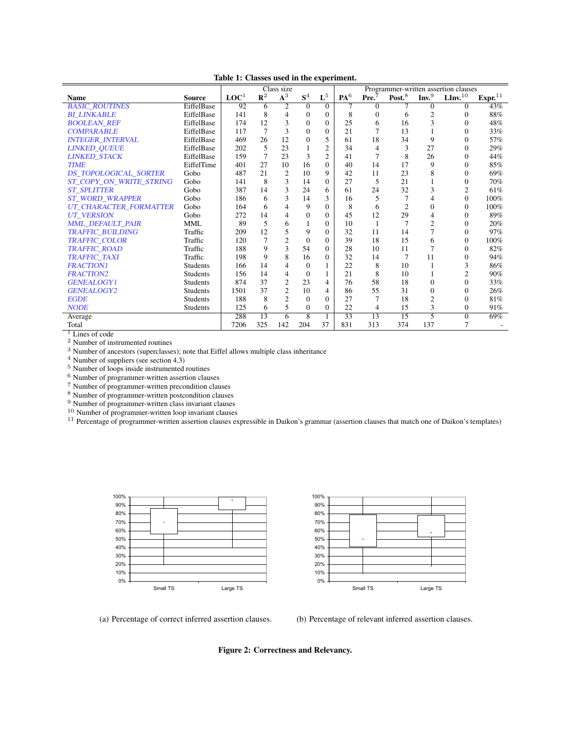|                               |                 |                  |                 | Class size     |                |                |                 |                   |                |                  | Programmer-written assertion clauses |                    |
|-------------------------------|-----------------|------------------|-----------------|----------------|----------------|----------------|-----------------|-------------------|----------------|------------------|--------------------------------------|--------------------|
| <b>Name</b>                   | <b>Source</b>   | LOC <sup>1</sup> | $\mathbf{R}^2$  | $A^3$          | S <sup>4</sup> | $\mathbf{L}^5$ | PA <sup>6</sup> | Pre. <sup>7</sup> | Post. $8$      | Inv <sup>9</sup> | $\mathbf{LInv}^{10}$                 | Expr <sup>11</sup> |
| <b>BASIC ROUTINES</b>         | EiffelBase      | 92               | 6               | $\overline{c}$ | $\Omega$       | $\Omega$       | 7               | 0                 |                | $\Omega$         | 0                                    | 43%                |
| <b>BI LINKABLE</b>            | EiffelBase      | 141              | 8               | 4              | $\Omega$       | $\mathbf{0}$   | 8               | $\Omega$          | 6              | $\overline{2}$   | $\Omega$                             | 88%                |
| <b>BOOLEAN REF</b>            | EiffelBase      | 174              | 12              | 3              | $\Omega$       | $\Omega$       | 25              | 6                 | 16             | 3                | $\theta$                             | 48%                |
| <b>COMPARABLE</b>             | EiffelBase      | 117              | $\overline{7}$  | 3              | $\Omega$       | $\mathbf{0}$   | 21              |                   | 13             |                  | $\Omega$                             | 33%                |
| <b>INTEGER INTERVAL</b>       | EiffelBase      | 469              | 26              | 12             | $\theta$       | 5              | 61              | 18                | 34             | 9                | $\Omega$                             | 57%                |
| <b>LINKED_QUEUE</b>           | EiffelBase      | 202              | 5               | 23             |                | $\mathfrak{2}$ | 34              | 4                 | 3              | 27               | $\Omega$                             | 29%                |
| <b>LINKED STACK</b>           | EiffelBase      | 159              | 7               | 23             | 3              | $\mathfrak{2}$ | 41              | 7                 | 8              | 26               | $\theta$                             | 44%                |
| <b>TIME</b>                   | EiffelTime      | 401              | 27              | 10             | 16             | $\Omega$       | 40              | 14                | 17             | 9                | $\Omega$                             | 85%                |
| DS TOPOLOGICAL SORTER         | Gobo            | 487              | 21              | $\overline{c}$ | 10             | 9              | 42              | 11                | 23             | 8                | $\Omega$                             | 69%                |
| ST COPY ON WRITE STRING       | Gobo            | 141              | 8               | 3              | 14             | $\Omega$       | 27              | 5                 | 21             |                  | $\Omega$                             | 70%                |
| <b>ST_SPLITTER</b>            | Gobo            | 387              | 14              | 3              | 24             | 6              | 61              | 24                | 32             | 3                | $\overline{c}$                       | 61%                |
| <b>ST WORD WRAPPER</b>        | Gobo            | 186              | 6               | 3              | 14             | 3              | 16              | 5                 |                | 4                | $\Omega$                             | 100%               |
| <b>UT CHARACTER FORMATTER</b> | Gobo            | 164              | 6               | 4              | 9              | $\Omega$       | 8               | 6                 | $\overline{2}$ | $\overline{0}$   | $\Omega$                             | 100%               |
| <b>UT_VERSION</b>             | Gobo            | 272              | 14              | 4              | $\Omega$       | $\mathbf{0}$   | 45              | 12                | 29             | 4                | $\Omega$                             | 89%                |
| <b>MML DEFAULT PAIR</b>       | <b>MML</b>      | 89               | 5               | 6              |                | $\mathbf{0}$   | 10              | 1                 | 7              | $\overline{2}$   | $\Omega$                             | 20%                |
| <b>TRAFFIC BUILDING</b>       | Traffic         | 209              | 12              | 5              | 9              | $\Omega$       | 32              | 11                | 14             | 7                | $\Omega$                             | 97%                |
| TRAFFIC_COLOR                 | Traffic         | 120              | 7               | $\overline{2}$ | $\Omega$       | $\Omega$       | 39              | 18                | 15             | 6                | $\Omega$                             | 100%               |
| <b>TRAFFIC ROAD</b>           | Traffic         | 188              | 9               | 3              | 54             | $\Omega$       | 28              | 10                | 11             | 7                | $\Omega$                             | 82%                |
| <b>TRAFFIC_TAXI</b>           | Traffic         | 198              | 9               | 8              | 16             | $\Omega$       | 32              | 14                |                | 11               | $\Omega$                             | 94%                |
| <b>FRACTION1</b>              | <b>Students</b> | 166              | 14              | 4              | $\Omega$       | 1              | 22              | 8                 | 10             | 1                | 3                                    | 86%                |
| <b>FRACTION2</b>              | <b>Students</b> | 156              | 14              | 4              | $\Omega$       | 1              | 21              | 8                 | 10             | 1                | $\overline{c}$                       | 90%                |
| <b>GENEALOGY1</b>             | <b>Students</b> | 874              | 37              | $\overline{c}$ | 23             | 4              | 76              | 58                | 18             | 0                | $\Omega$                             | 33%                |
| <b>GENEALOGY2</b>             | <b>Students</b> | 1501             | 37              | $\overline{c}$ | 10             | 4              | 86              | 55                | 31             | $\overline{0}$   | $\Omega$                             | 26%                |
| <b>EGDE</b>                   | <b>Students</b> | 188              | 8               | $\overline{c}$ | $\Omega$       | $\Omega$       | 27              | 7                 | 18             | $\overline{c}$   | $\Omega$                             | 81%                |
| <b>NODE</b>                   | <b>Students</b> | 125              | 6               | 5              | $\mathbf{0}$   | $\mathbf{0}$   | 22              | 4                 | 15             | 3                | $\mathbf{0}$                         | 91%                |
| Average                       |                 | 288              | $\overline{13}$ | 6              | $\overline{8}$ | $\mathbf{1}$   | 33              | 13                | 15             | 5                | $\Omega$                             | 69%                |
| Total                         |                 | 7206             | 325             | 142            | 204            | 37             | 831             | 313               | 374            | 137              | 7                                    |                    |

Table 1: Classes used in the experiment.

 $\overline{1}$  Lines of code

<sup>2</sup> Number of instrumented routines

<sup>3</sup> Number of ancestors (superclasses); note that Eiffel allows multiple class inheritance

 $4$  Number of suppliers (see section 4.3)

<sup>5</sup> Number of loops inside instrumented routines

<sup>6</sup> Number of programmer-written assertion clauses

<sup>7</sup> Number of programmer-written precondition clauses

<sup>8</sup> Number of programmer-written postcondition clauses

<sup>9</sup> Number of programmer-written class invariant clauses

<sup>10</sup> Number of programmer-written loop invariant clauses

<sup>11</sup> Percentage of programmer-written assertion clauses expressible in Daikon's grammar (assertion clauses that match one of Daikon's templates)





(b) Percentage of relevant inferred assertion clauses.

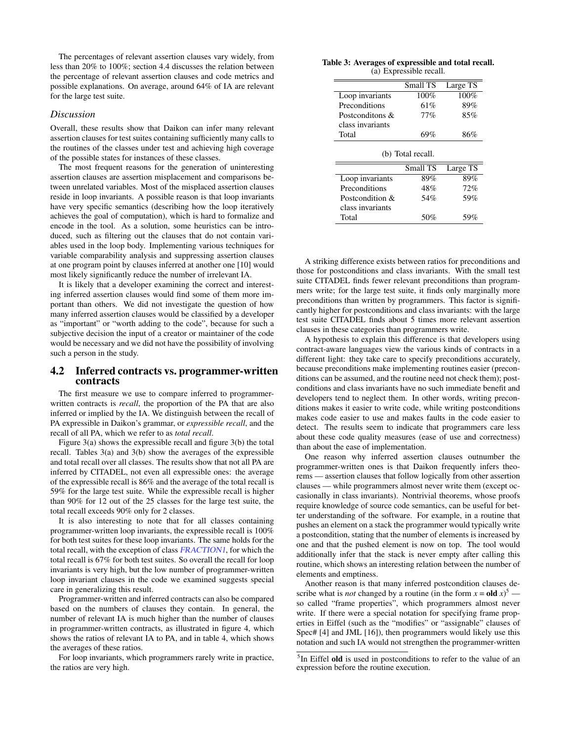The percentages of relevant assertion clauses vary widely, from less than 20% to 100%; section 4.4 discusses the relation between the percentage of relevant assertion clauses and code metrics and possible explanations. On average, around 64% of IA are relevant for the large test suite.

#### *Discussion*

Overall, these results show that Daikon can infer many relevant assertion clauses for test suites containing sufficiently many calls to the routines of the classes under test and achieving high coverage of the possible states for instances of these classes.

The most frequent reasons for the generation of uninteresting assertion clauses are assertion misplacement and comparisons between unrelated variables. Most of the misplaced assertion clauses reside in loop invariants. A possible reason is that loop invariants have very specific semantics (describing how the loop iteratively achieves the goal of computation), which is hard to formalize and encode in the tool. As a solution, some heuristics can be introduced, such as filtering out the clauses that do not contain variables used in the loop body. Implementing various techniques for variable comparability analysis and suppressing assertion clauses at one program point by clauses inferred at another one [10] would most likely significantly reduce the number of irrelevant IA.

It is likely that a developer examining the correct and interesting inferred assertion clauses would find some of them more important than others. We did not investigate the question of how many inferred assertion clauses would be classified by a developer as "important" or "worth adding to the code", because for such a subjective decision the input of a creator or maintainer of the code would be necessary and we did not have the possibility of involving such a person in the study.

#### 4.2 Inferred contracts vs. programmer-written contracts

The first measure we use to compare inferred to programmerwritten contracts is *recall*, the proportion of the PA that are also inferred or implied by the IA. We distinguish between the recall of PA expressible in Daikon's grammar, or *expressible recall*, and the recall of all PA, which we refer to as *total recall*.

Figure 3(a) shows the expressible recall and figure 3(b) the total recall. Tables 3(a) and 3(b) show the averages of the expressible and total recall over all classes. The results show that not all PA are inferred by CITADEL, not even all expressible ones: the average of the expressible recall is 86% and the average of the total recall is 59% for the large test suite. While the expressible recall is higher than 90% for 12 out of the 25 classes for the large test suite, the total recall exceeds 90% only for 2 classes.

It is also interesting to note that for all classes containing programmer-written loop invariants, the expressible recall is 100% for both test suites for these loop invariants. The same holds for the total recall, with the exception of class FRACTION1, for which the total recall is 67% for both test suites. So overall the recall for loop invariants is very high, but the low number of programmer-written loop invariant clauses in the code we examined suggests special care in generalizing this result.

Programmer-written and inferred contracts can also be compared based on the numbers of clauses they contain. In general, the number of relevant IA is much higher than the number of clauses in programmer-written contracts, as illustrated in figure 4, which shows the ratios of relevant IA to PA, and in table 4, which shows the averages of these ratios.

For loop invariants, which programmers rarely write in practice, the ratios are very high.

| Table 3: Averages of expressible and total recall. |  |
|----------------------------------------------------|--|
| (a) Expressible recall.                            |  |

|                  | Small TS          | Large TS |
|------------------|-------------------|----------|
| Loop invariants  | 100%              | 100%     |
| Preconditions    | 61%               | 89%      |
| Postconditons &  | 77%               | 85%      |
| class invariants |                   |          |
| Total            | 69%               | 86%      |
|                  |                   |          |
|                  | (b) Total recall. |          |
|                  | Small TS          | Large TS |
| Loop invariants  | 89%               | 89%      |
| Preconditions    | 48%               | 72%      |
| Postcondition &  | 54%               | 59%      |
| class invariants |                   |          |

A striking difference exists between ratios for preconditions and those for postconditions and class invariants. With the small test suite CITADEL finds fewer relevant preconditions than programmers write; for the large test suite, it finds only marginally more preconditions than written by programmers. This factor is significantly higher for postconditions and class invariants: with the large test suite CITADEL finds about 5 times more relevant assertion clauses in these categories than programmers write.

A hypothesis to explain this difference is that developers using contract-aware languages view the various kinds of contracts in a different light: they take care to specify preconditions accurately, because preconditions make implementing routines easier (preconditions can be assumed, and the routine need not check them); postconditions and class invariants have no such immediate benefit and developers tend to neglect them. In other words, writing preconditions makes it easier to write code, while writing postconditions makes code easier to use and makes faults in the code easier to detect. The results seem to indicate that programmers care less about these code quality measures (ease of use and correctness) than about the ease of implementation.

One reason why inferred assertion clauses outnumber the programmer-written ones is that Daikon frequently infers theorems — assertion clauses that follow logically from other assertion clauses — while programmers almost never write them (except occasionally in class invariants). Nontrivial theorems, whose proofs require knowledge of source code semantics, can be useful for better understanding of the software. For example, in a routine that pushes an element on a stack the programmer would typically write a postcondition, stating that the number of elements is increased by one and that the pushed element is now on top. The tool would additionally infer that the stack is never empty after calling this routine, which shows an interesting relation between the number of elements and emptiness.

Another reason is that many inferred postcondition clauses describe what is *not* changed by a routine (in the form  $x = old \, x^5$  so called "frame properties", which programmers almost never write. If there were a special notation for specifying frame properties in Eiffel (such as the "modifies" or "assignable" clauses of Spec# [4] and JML [16]), then programmers would likely use this notation and such IA would not strengthen the programmer-written

<sup>&</sup>lt;sup>5</sup>In Eiffel old is used in postconditions to refer to the value of an expression before the routine execution.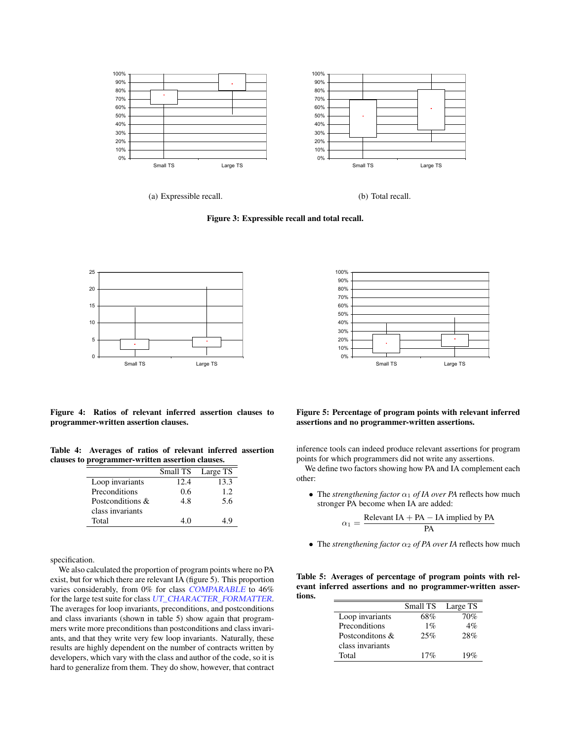

(a) Expressible recall.

(b) Total recall.

Figure 3: Expressible recall and total recall.





Figure 4: Ratios of relevant inferred assertion clauses to programmer-written assertion clauses.

Table 4: Averages of ratios of relevant inferred assertion clauses to programmer-written assertion clauses.

|                  | Small TS | Large TS |
|------------------|----------|----------|
| Loop invariants  | 12.4     | 13.3     |
| Preconditions    | 0.6      | 1.2.     |
| Postconditions & | 4.8      | 5.6      |
| class invariants |          |          |
| Total            | 4 O      | 1 Q      |

specification.

We also calculated the proportion of program points where no PA exist, but for which there are relevant IA (figure 5). This proportion varies considerably, from 0% for class COMPARABLE to 46% for the large test suite for class UT\_CHARACTER\_FORMATTER. The averages for loop invariants, preconditions, and postconditions and class invariants (shown in table 5) show again that programmers write more preconditions than postconditions and class invariants, and that they write very few loop invariants. Naturally, these results are highly dependent on the number of contracts written by developers, which vary with the class and author of the code, so it is hard to generalize from them. They do show, however, that contract

#### Figure 5: Percentage of program points with relevant inferred assertions and no programmer-written assertions.

inference tools can indeed produce relevant assertions for program points for which programmers did not write any assertions.

We define two factors showing how PA and IA complement each other:

• The *strengthening factor*  $\alpha_1$  *of IA over PA* reflects how much stronger PA become when IA are added:

$$
\alpha_1 = \frac{\text{Relevant IA} + \text{PA} - \text{IA implied by PA}}{\text{PA}}
$$

• The *strengthening factor*  $\alpha_2$  *of PA over IA* reflects how much

Table 5: Averages of percentage of program points with relevant inferred assertions and no programmer-written assertions.

|                  | Small TS | Large TS |
|------------------|----------|----------|
| Loop invariants  | 68%      | 70%      |
| Preconditions    | $1\%$    | 4%       |
| Postconditons &  | 25%      | 28%      |
| class invariants |          |          |
| Total            | 17%      | 19%      |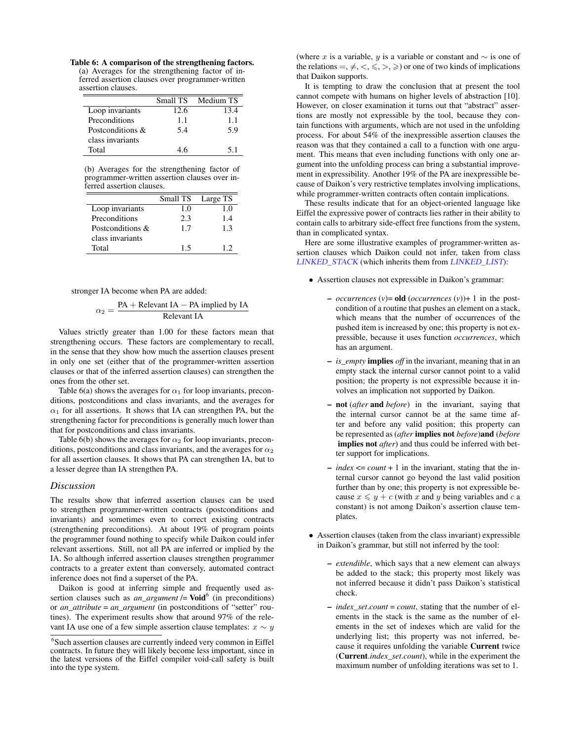Table 6: A comparison of the strengthening factors. (a) Averages for the strengthening factor of inferred assertion clauses over programmer-written assertion clauses.

|                  | Small TS | Medium TS |
|------------------|----------|-----------|
| Loop invariants  | 12.6     | 13.4      |
| Preconditions    | 1.1      | 1.1       |
| Postconditions & | 5.4      | 5.9       |
| class invariants |          |           |
| Total            | 46       | 51        |

(b) Averages for the strengthening factor of programmer-written assertion clauses over inferred assertion clauses.

|                  | Small TS | Large TS |
|------------------|----------|----------|
| Loop invariants  | 1.0      | 1.0      |
| Preconditions    | 2.3      | 1.4      |
| Postconditions & | 1.7      | 13       |
| class invariants |          |          |
| Total            | 15       | 12       |

stronger IA become when PA are added:

$$
\alpha_2 = \frac{PA + Relevant IA - PA implied by IA}{Relevant IA}
$$

Values strictly greater than 1.00 for these factors mean that strengthening occurs. These factors are complementary to recall, in the sense that they show how much the assertion clauses present in only one set (either that of the programmer-written assertion clauses or that of the inferred assertion clauses) can strengthen the ones from the other set.

Table 6(a) shows the averages for  $\alpha_1$  for loop invariants, preconditions, postconditions and class invariants, and the averages for  $\alpha_1$  for all assertions. It shows that IA can strengthen PA, but the strengthening factor for preconditions is generally much lower than that for postconditions and class invariants.

Table 6(b) shows the averages for  $\alpha_2$  for loop invariants, preconditions, postconditions and class invariants, and the averages for  $\alpha_2$ for all assertion clauses. It shows that PA can strengthen IA, but to a lesser degree than IA strengthen PA.

#### *Discussion*

The results show that inferred assertion clauses can be used to strengthen programmer-written contracts (postconditions and invariants) and sometimes even to correct existing contracts (strengthening preconditions). At about 19% of program points the programmer found nothing to specify while Daikon could infer relevant assertions. Still, not all PA are inferred or implied by the IA. So although inferred assertion clauses strengthen programmer contracts to a greater extent than conversely, automated contract inference does not find a superset of the PA.

Daikon is good at inferring simple and frequently used assertion clauses such as  $an_{\text{u}} = \text{Void}^6$  (in preconditions) or *an\_attribute* = *an\_argument* (in postconditions of "setter" routines). The experiment results show that around 97% of the relevant IA use one of a few simple assertion clause templates:  $x \sim y$  (where x is a variable, y is a variable or constant and  $\sim$  is one of the relations  $=, \neq, \leq, \leq, \geq)$  or one of two kinds of implications that Daikon supports.

It is tempting to draw the conclusion that at present the tool cannot compete with humans on higher levels of abstraction [10]. However, on closer examination it turns out that "abstract" assertions are mostly not expressible by the tool, because they contain functions with arguments, which are not used in the unfolding process. For about 54% of the inexpressible assertion clauses the reason was that they contained a call to a function with one argument. This means that even including functions with only one argument into the unfolding process can bring a substantial improvement in expressibility. Another 19% of the PA are inexpressible because of Daikon's very restrictive templates involving implications, while programmer-written contracts often contain implications.

These results indicate that for an object-oriented language like Eiffel the expressive power of contracts lies rather in their ability to contain calls to arbitrary side-effect free functions from the system, than in complicated syntax.

Here are some illustrative examples of programmer-written assertion clauses which Daikon could not infer, taken from class LINKED STACK (which inherits them from LINKED LIST):

- Assertion clauses not expressible in Daikon's grammar:
	- $\rightarrow$  *occurrences* (*v*)= **old** (*occurrences* (*v*))+ 1 in the postcondition of a routine that pushes an element on a stack, which means that the number of occurrences of the pushed item is increased by one; this property is not expressible, because it uses function *occurrences*, which has an argument.
	- *is\_empty* implies *off* in the invariant, meaning that in an empty stack the internal cursor cannot point to a valid position; the property is not expressible because it involves an implication not supported by Daikon.
	- not (*after* and *before*) in the invariant, saying that the internal cursor cannot be at the same time after and before any valid position; this property can be represented as (*after* implies not *before*)and (*before* implies not *after*) and thus could be inferred with better support for implications.
	- *index* <= *count* + 1 in the invariant, stating that the internal cursor cannot go beyond the last valid position further than by one; this property is not expressible because  $x \leq y + c$  (with x and y being variables and c a constant) is not among Daikon's assertion clause templates.
- Assertion clauses (taken from the class invariant) expressible in Daikon's grammar, but still not inferred by the tool:
	- *extendible*, which says that a new element can always be added to the stack; this property most likely was not inferred because it didn't pass Daikon's statistical check.
	- *index\_set*.*count* = *count*, stating that the number of elements in the stack is the same as the number of elements in the set of indexes which are valid for the underlying list; this property was not inferred, because it requires unfolding the variable Current twice (Current.*index\_set*.*count*), while in the experiment the maximum number of unfolding iterations was set to 1.

<sup>6</sup> Such assertion clauses are currently indeed very common in Eiffel contracts. In future they will likely become less important, since in the latest versions of the Eiffel compiler void-call safety is built into the type system.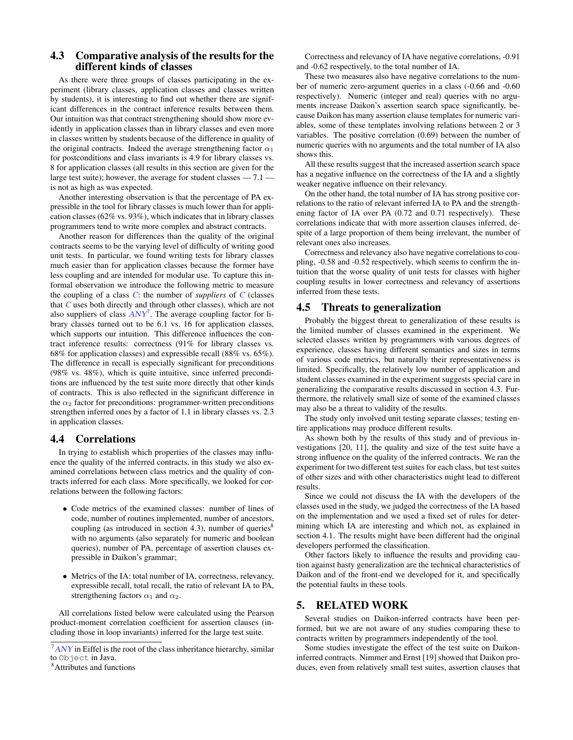## 4.3 Comparative analysis of the results for the different kinds of classes

As there were three groups of classes participating in the experiment (library classes, application classes and classes written by students), it is interesting to find out whether there are significant differences in the contract inference results between them. Our intuition was that contract strengthening should show more evidently in application classes than in library classes and even more in classes written by students because of the difference in quality of the original contracts. Indeed the average strengthening factor  $\alpha_1$ for postconditions and class invariants is 4.9 for library classes vs. 8 for application classes (all results in this section are given for the large test suite); however, the average for student classes  $-7.1$  – is not as high as was expected.

Another interesting observation is that the percentage of PA expressible in the tool for library classes is much lower than for application classes (62% vs. 93%), which indicates that in library classes programmers tend to write more complex and abstract contracts.

Another reason for differences than the quality of the original contracts seems to be the varying level of difficulty of writing good unit tests. In particular, we found writing tests for library classes much easier than for application classes because the former have less coupling and are intended for modular use. To capture this informal observation we introduce the following metric to measure the coupling of a class  $C$ : the number of *suppliers* of  $C$  (classes that C uses both directly and through other classes), which are not also suppliers of class  $\overrightarrow{ANY}$ . The average coupling factor for library classes turned out to be 6.1 vs. 16 for application classes, which supports our intuition. This difference influences the contract inference results: correctness (91% for library classes vs. 68% for application classes) and expressible recall (88% vs. 65%). The difference in recall is especially significant for preconditions (98% vs. 48%), which is quite intuitive, since inferred preconditions are influenced by the test suite more directly that other kinds of contracts. This is also reflected in the significant difference in the  $\alpha_2$  factor for preconditions: programmer-written preconditions strengthen inferred ones by a factor of 1.1 in library classes vs. 2.3 in application classes.

## 4.4 Correlations

In trying to establish which properties of the classes may influence the quality of the inferred contracts, in this study we also examined correlations between class metrics and the quality of contracts inferred for each class. More specifically, we looked for correlations between the following factors:

- Code metrics of the examined classes: number of lines of code, number of routines implemented, number of ancestors, coupling (as introduced in section 4.3), number of queries $8$ with no arguments (also separately for numeric and boolean queries), number of PA, percentage of assertion clauses expressible in Daikon's grammar;
- Metrics of the IA: total number of IA, correctness, relevancy, expressible recall, total recall, the ratio of relevant IA to PA, strengthening factors  $\alpha_1$  and  $\alpha_2$ .

All correlations listed below were calculated using the Pearson product-moment correlation coefficient for assertion clauses (including those in loop invariants) inferred for the large test suite.

Correctness and relevancy of IA have negative correlations, -0.91 and -0.62 respectively, to the total number of IA.

These two measures also have negative correlations to the number of numeric zero-argument queries in a class (-0.66 and -0.60 respectively). Numeric (integer and real) queries with no arguments increase Daikon's assertion search space significantly, because Daikon has many assertion clause templates for numeric variables, some of these templates involving relations between 2 or 3 variables. The positive correlation (0.69) between the number of numeric queries with no arguments and the total number of IA also shows this.

All these results suggest that the increased assertion search space has a negative influence on the correctness of the IA and a slightly weaker negative influence on their relevancy.

On the other hand, the total number of IA has strong positive correlations to the ratio of relevant inferred IA to PA and the strengthening factor of IA over PA (0.72 and 0.71 respectively). These correlations indicate that with more assertion clauses inferred, despite of a large proportion of them being irrelevant, the number of relevant ones also increases.

Correctness and relevancy also have negative correlations to coupling, -0.58 and -0.52 respectively, which seems to confirm the intuition that the worse quality of unit tests for classes with higher coupling results in lower correctness and relevancy of assertions inferred from these tests.

#### 4.5 Threats to generalization

Probably the biggest threat to generalization of these results is the limited number of classes examined in the experiment. We selected classes written by programmers with various degrees of experience, classes having different semantics and sizes in terms of various code metrics, but naturally their representativeness is limited. Specifically, the relatively low number of application and student classes examined in the experiment suggests special care in generalizing the comparative results discussed in section 4.3. Furthermore, the relatively small size of some of the examined classes may also be a threat to validity of the results.

The study only involved unit testing separate classes; testing entire applications may produce different results.

As shown both by the results of this study and of previous investigations [20, 11], the quality and size of the test suite have a strong influence on the quality of the inferred contracts. We ran the experiment for two different test suites for each class, but test suites of other sizes and with other characteristics might lead to different results.

Since we could not discuss the IA with the developers of the classes used in the study, we judged the correctness of the IA based on the implementation and we used a fixed set of rules for determining which IA are interesting and which not, as explained in section 4.1. The results might have been different had the original developers performed the classification.

Other factors likely to influence the results and providing caution against hasty generalization are the technical characteristics of Daikon and of the front-end we developed for it, and specifically the potential faults in these tools.

## 5. RELATED WORK

Several studies on Daikon-inferred contracts have been performed, but we are not aware of any studies comparing these to contracts written by programmers independently of the tool.

Some studies investigate the effect of the test suite on Daikoninferred contracts. Nimmer and Ernst [19] showed that Daikon produces, even from relatively small test suites, assertion clauses that

 $7<sub>ANY</sub>$  in Eiffel is the root of the class inheritance hierarchy, similar to Object in Java.

<sup>8</sup>Attributes and functions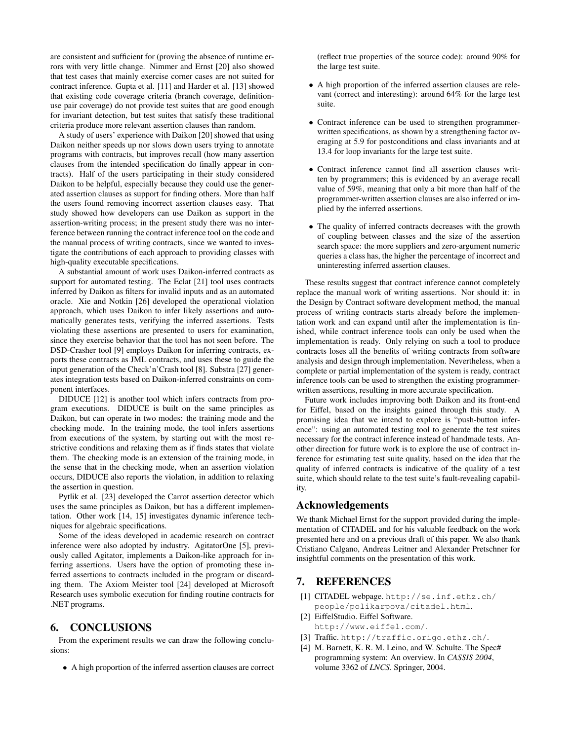are consistent and sufficient for (proving the absence of runtime errors with very little change. Nimmer and Ernst [20] also showed that test cases that mainly exercise corner cases are not suited for contract inference. Gupta et al. [11] and Harder et al. [13] showed that existing code coverage criteria (branch coverage, definitionuse pair coverage) do not provide test suites that are good enough for invariant detection, but test suites that satisfy these traditional criteria produce more relevant assertion clauses than random.

A study of users' experience with Daikon [20] showed that using Daikon neither speeds up nor slows down users trying to annotate programs with contracts, but improves recall (how many assertion clauses from the intended specification do finally appear in contracts). Half of the users participating in their study considered Daikon to be helpful, especially because they could use the generated assertion clauses as support for finding others. More than half the users found removing incorrect assertion clauses easy. That study showed how developers can use Daikon as support in the assertion-writing process; in the present study there was no interference between running the contract inference tool on the code and the manual process of writing contracts, since we wanted to investigate the contributions of each approach to providing classes with high-quality executable specifications.

A substantial amount of work uses Daikon-inferred contracts as support for automated testing. The Eclat [21] tool uses contracts inferred by Daikon as filters for invalid inputs and as an automated oracle. Xie and Notkin [26] developed the operational violation approach, which uses Daikon to infer likely assertions and automatically generates tests, verifying the inferred assertions. Tests violating these assertions are presented to users for examination, since they exercise behavior that the tool has not seen before. The DSD-Crasher tool [9] employs Daikon for inferring contracts, exports these contracts as JML contracts, and uses these to guide the input generation of the Check'n'Crash tool [8]. Substra [27] generates integration tests based on Daikon-inferred constraints on component interfaces.

DIDUCE [12] is another tool which infers contracts from program executions. DIDUCE is built on the same principles as Daikon, but can operate in two modes: the training mode and the checking mode. In the training mode, the tool infers assertions from executions of the system, by starting out with the most restrictive conditions and relaxing them as if finds states that violate them. The checking mode is an extension of the training mode, in the sense that in the checking mode, when an assertion violation occurs, DIDUCE also reports the violation, in addition to relaxing the assertion in question.

Pytlik et al. [23] developed the Carrot assertion detector which uses the same principles as Daikon, but has a different implementation. Other work [14, 15] investigates dynamic inference techniques for algebraic specifications.

Some of the ideas developed in academic research on contract inference were also adopted by industry. AgitatorOne [5], previously called Agitator, implements a Daikon-like approach for inferring assertions. Users have the option of promoting these inferred assertions to contracts included in the program or discarding them. The Axiom Meister tool [24] developed at Microsoft Research uses symbolic execution for finding routine contracts for .NET programs.

# 6. CONCLUSIONS

From the experiment results we can draw the following conclusions:

• A high proportion of the inferred assertion clauses are correct

(reflect true properties of the source code): around 90% for the large test suite.

- A high proportion of the inferred assertion clauses are relevant (correct and interesting): around 64% for the large test suite.
- Contract inference can be used to strengthen programmerwritten specifications, as shown by a strengthening factor averaging at 5.9 for postconditions and class invariants and at 13.4 for loop invariants for the large test suite.
- Contract inference cannot find all assertion clauses written by programmers; this is evidenced by an average recall value of 59%, meaning that only a bit more than half of the programmer-written assertion clauses are also inferred or implied by the inferred assertions.
- The quality of inferred contracts decreases with the growth of coupling between classes and the size of the assertion search space: the more suppliers and zero-argument numeric queries a class has, the higher the percentage of incorrect and uninteresting inferred assertion clauses.

These results suggest that contract inference cannot completely replace the manual work of writing assertions. Nor should it: in the Design by Contract software development method, the manual process of writing contracts starts already before the implementation work and can expand until after the implementation is finished, while contract inference tools can only be used when the implementation is ready. Only relying on such a tool to produce contracts loses all the benefits of writing contracts from software analysis and design through implementation. Nevertheless, when a complete or partial implementation of the system is ready, contract inference tools can be used to strengthen the existing programmerwritten assertions, resulting in more accurate specification.

Future work includes improving both Daikon and its front-end for Eiffel, based on the insights gained through this study. A promising idea that we intend to explore is "push-button inference": using an automated testing tool to generate the test suites necessary for the contract inference instead of handmade tests. Another direction for future work is to explore the use of contract inference for estimating test suite quality, based on the idea that the quality of inferred contracts is indicative of the quality of a test suite, which should relate to the test suite's fault-revealing capability.

#### Acknowledgements

We thank Michael Ernst for the support provided during the implementation of CITADEL and for his valuable feedback on the work presented here and on a previous draft of this paper. We also thank Cristiano Calgano, Andreas Leitner and Alexander Pretschner for insightful comments on the presentation of this work.

## 7. REFERENCES

- [1] CITADEL webpage. http://se.inf.ethz.ch/ people/polikarpova/citadel.html.
- [2] EiffelStudio. Eiffel Software. http://www.eiffel.com/.
- [3] Traffic. http://traffic.origo.ethz.ch/.
- [4] M. Barnett, K. R. M. Leino, and W. Schulte. The Spec# programming system: An overview. In *CASSIS 2004*, volume 3362 of *LNCS*. Springer, 2004.